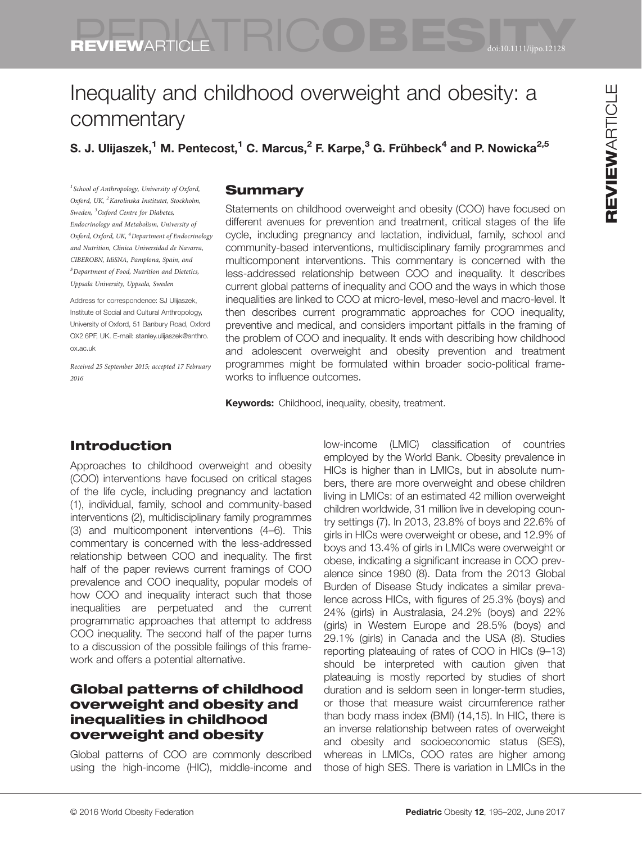# REVIEWARTICLE REVIEWARTICLE

# REVIEWARTICLE **OBESITY DE CONTRACT DE CONTRACT DE CONTRACT DE CONTRACT DE CONTRACT DE CONTRACT DE CONTRACT DE CONTRACT DE CONTRACT DE CONTRACT DE CONTRACT DE CONTRACT DE CONTRACT DE CONTRACT DE CONTRACT DE CONTRACT DE CONT**

## Inequality and childhood overweight and obesity: a commentary

S. J. Ulijaszek,<sup>1</sup> M. Pentecost,<sup>1</sup> C. Marcus,<sup>2</sup> F. Karpe,<sup>3</sup> G. Frühbeck<sup>4</sup> and P. Nowicka<sup>2,5</sup>

<sup>1</sup> School of Anthropology, University of Oxford, Oxford, UK, <sup>2</sup> Karolinska Institutet, Stockholm, Sweden, <sup>3</sup>Oxford Centre for Diabetes, Endocrinology and Metabolism, University of Oxford, Oxford, UK, <sup>4</sup> Department of Endocrinology and Nutrition, Clinica Universidad de Navarra, CIBEROBN, IdiSNA, Pamplona, Spain, and 5 Department of Food, Nutrition and Dietetics, Uppsala University, Uppsala, Sweden

Address for correspondence: SJ Ulijaszek, Institute of Social and Cultural Anthropology, University of Oxford, 51 Banbury Road, Oxford OX2 6PF, UK. E-mail: stanley.ulijaszek@anthro. ox.ac.uk

Received 25 September 2015; accepted 17 February 2016

#### **Summary**

Statements on childhood overweight and obesity (COO) have focused on different avenues for prevention and treatment, critical stages of the life cycle, including pregnancy and lactation, individual, family, school and community-based interventions, multidisciplinary family programmes and multicomponent interventions. This commentary is concerned with the less-addressed relationship between COO and inequality. It describes current global patterns of inequality and COO and the ways in which those inequalities are linked to COO at micro-level, meso-level and macro-level. It then describes current programmatic approaches for COO inequality, preventive and medical, and considers important pitfalls in the framing of the problem of COO and inequality. It ends with describing how childhood and adolescent overweight and obesity prevention and treatment programmes might be formulated within broader socio-political frameworks to influence outcomes.

**Keywords:** Childhood, inequality, obesity, treatment.

#### Introduction

Approaches to childhood overweight and obesity (COO) interventions have focused on critical stages of the life cycle, including pregnancy and lactation (1), individual, family, school and community-based interventions (2), multidisciplinary family programmes (3) and multicomponent interventions (4–6). This commentary is concerned with the less-addressed relationship between COO and inequality. The first half of the paper reviews current framings of COO prevalence and COO inequality, popular models of how COO and inequality interact such that those inequalities are perpetuated and the current programmatic approaches that attempt to address COO inequality. The second half of the paper turns to a discussion of the possible failings of this framework and offers a potential alternative.

#### Global patterns of childhood overweight and obesity and inequalities in childhood overweight and obesity

Global patterns of COO are commonly described using the high-income (HIC), middle-income and low-income (LMIC) classification of countries employed by the World Bank. Obesity prevalence in HICs is higher than in LMICs, but in absolute numbers, there are more overweight and obese children living in LMICs: of an estimated 42 million overweight children worldwide, 31 million live in developing country settings (7). In 2013, 23.8% of boys and 22.6% of girls in HICs were overweight or obese, and 12.9% of boys and 13.4% of girls in LMICs were overweight or obese, indicating a significant increase in COO prevalence since 1980 (8). Data from the 2013 Global Burden of Disease Study indicates a similar prevalence across HICs, with figures of 25.3% (boys) and 24% (girls) in Australasia, 24.2% (boys) and 22% (girls) in Western Europe and 28.5% (boys) and 29.1% (girls) in Canada and the USA (8). Studies reporting plateauing of rates of COO in HICs (9–13) should be interpreted with caution given that plateauing is mostly reported by studies of short duration and is seldom seen in longer-term studies, or those that measure waist circumference rather than body mass index (BMI) (14,15). In HIC, there is an inverse relationship between rates of overweight and obesity and socioeconomic status (SES), whereas in LMICs, COO rates are higher among those of high SES. There is variation in LMICs in the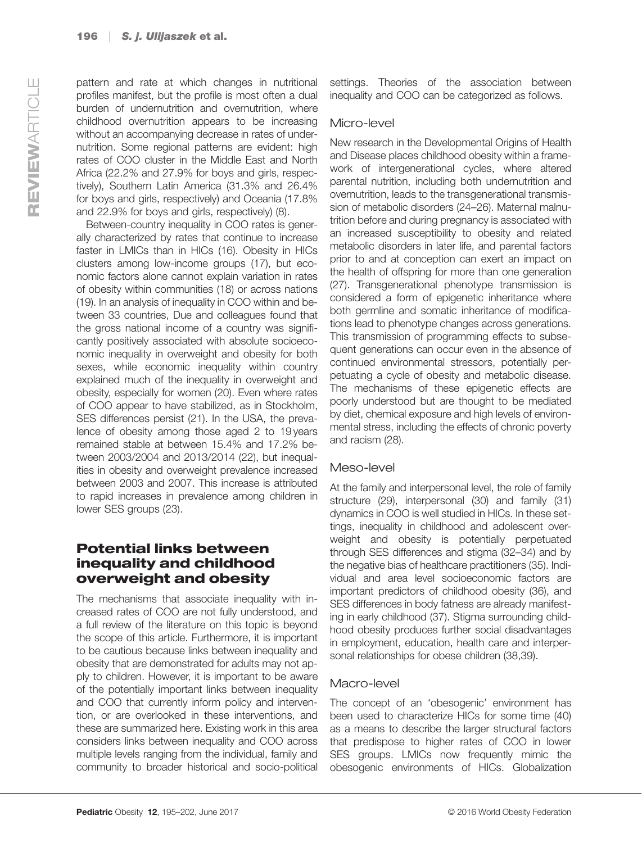pattern and rate at which changes in nutritional profiles manifest, but the profile is most often a dual burden of undernutrition and overnutrition, where childhood overnutrition appears to be increasing without an accompanying decrease in rates of undernutrition. Some regional patterns are evident: high rates of COO cluster in the Middle East and North Africa (22.2% and 27.9% for boys and girls, respectively), Southern Latin America (31.3% and 26.4% for boys and girls, respectively) and Oceania (17.8% and 22.9% for boys and girls, respectively) (8).

Between-country inequality in COO rates is generally characterized by rates that continue to increase faster in LMICs than in HICs (16). Obesity in HICs clusters among low-income groups (17), but economic factors alone cannot explain variation in rates of obesity within communities (18) or across nations (19). In an analysis of inequality in COO within and between 33 countries, Due and colleagues found that the gross national income of a country was significantly positively associated with absolute socioeconomic inequality in overweight and obesity for both sexes, while economic inequality within country explained much of the inequality in overweight and obesity, especially for women (20). Even where rates of COO appear to have stabilized, as in Stockholm, SES differences persist (21). In the USA, the prevalence of obesity among those aged 2 to 19 years remained stable at between 15.4% and 17.2% between 2003/2004 and 2013/2014 (22), but inequalities in obesity and overweight prevalence increased between 2003 and 2007. This increase is attributed to rapid increases in prevalence among children in lower SES groups (23).

#### Potential links between inequality and childhood overweight and obesity

The mechanisms that associate inequality with increased rates of COO are not fully understood, and a full review of the literature on this topic is beyond the scope of this article. Furthermore, it is important to be cautious because links between inequality and obesity that are demonstrated for adults may not apply to children. However, it is important to be aware of the potentially important links between inequality and COO that currently inform policy and intervention, or are overlooked in these interventions, and these are summarized here. Existing work in this area considers links between inequality and COO across multiple levels ranging from the individual, family and community to broader historical and socio-political settings. Theories of the association between inequality and COO can be categorized as follows.

#### Micro-level

New research in the Developmental Origins of Health and Disease places childhood obesity within a framework of intergenerational cycles, where altered parental nutrition, including both undernutrition and overnutrition, leads to the transgenerational transmission of metabolic disorders (24–26). Maternal malnutrition before and during pregnancy is associated with an increased susceptibility to obesity and related metabolic disorders in later life, and parental factors prior to and at conception can exert an impact on the health of offspring for more than one generation (27). Transgenerational phenotype transmission is considered a form of epigenetic inheritance where both germline and somatic inheritance of modifications lead to phenotype changes across generations. This transmission of programming effects to subsequent generations can occur even in the absence of continued environmental stressors, potentially perpetuating a cycle of obesity and metabolic disease. The mechanisms of these epigenetic effects are poorly understood but are thought to be mediated by diet, chemical exposure and high levels of environmental stress, including the effects of chronic poverty and racism (28).

#### Meso-level

At the family and interpersonal level, the role of family structure (29), interpersonal (30) and family (31) dynamics in COO is well studied in HICs. In these settings, inequality in childhood and adolescent overweight and obesity is potentially perpetuated through SES differences and stigma (32–34) and by the negative bias of healthcare practitioners (35). Individual and area level socioeconomic factors are important predictors of childhood obesity (36), and SES differences in body fatness are already manifesting in early childhood (37). Stigma surrounding childhood obesity produces further social disadvantages in employment, education, health care and interpersonal relationships for obese children (38,39).

#### Macro-level

The concept of an 'obesogenic' environment has been used to characterize HICs for some time (40) as a means to describe the larger structural factors that predispose to higher rates of COO in lower SES groups. LMICs now frequently mimic the obesogenic environments of HICs. Globalization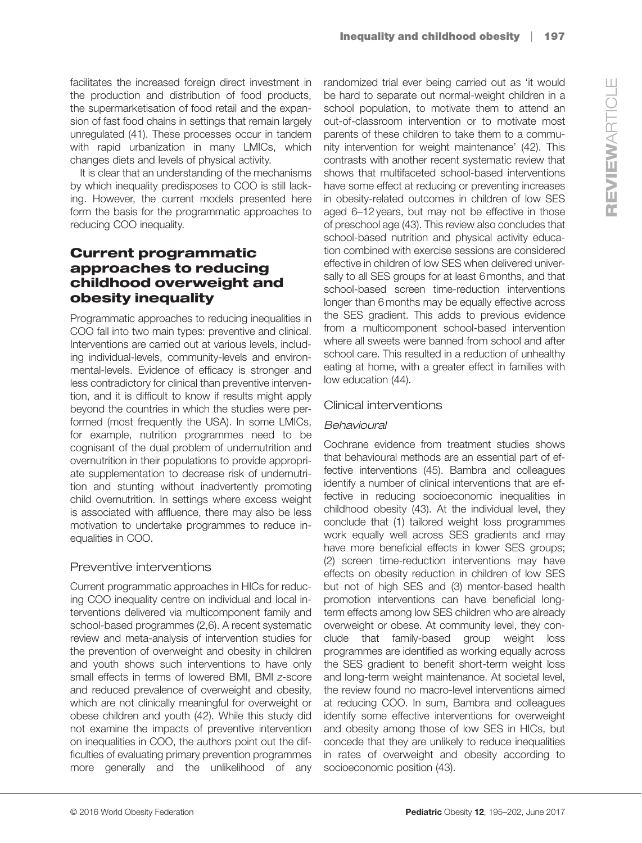facilitates the increased foreign direct investment in the production and distribution of food products, the supermarketisation of food retail and the expansion of fast food chains in settings that remain largely unregulated (41). These processes occur in tandem with rapid urbanization in many LMICs, which changes diets and levels of physical activity.

It is clear that an understanding of the mechanisms by which inequality predisposes to COO is still lacking. However, the current models presented here form the basis for the programmatic approaches to reducing COO inequality.

#### Current programmatic approaches to reducing childhood overweight and obesity inequality

Programmatic approaches to reducing inequalities in COO fall into two main types: preventive and clinical. Interventions are carried out at various levels, including individual-levels, community-levels and environmental-levels. Evidence of efficacy is stronger and less contradictory for clinical than preventive intervention, and it is difficult to know if results might apply beyond the countries in which the studies were performed (most frequently the USA). In some LMICs, for example, nutrition programmes need to be cognisant of the dual problem of undernutrition and overnutrition in their populations to provide appropriate supplementation to decrease risk of undernutrition and stunting without inadvertently promoting child overnutrition. In settings where excess weight is associated with affluence, there may also be less motivation to undertake programmes to reduce inequalities in COO.

#### Preventive interventions

Current programmatic approaches in HICs for reducing COO inequality centre on individual and local interventions delivered via multicomponent family and school-based programmes (2,6). A recent systematic review and meta-analysis of intervention studies for the prevention of overweight and obesity in children and youth shows such interventions to have only small effects in terms of lowered BMI, BMI z-score and reduced prevalence of overweight and obesity, which are not clinically meaningful for overweight or obese children and youth (42). While this study did not examine the impacts of preventive intervention on inequalities in COO, the authors point out the difficulties of evaluating primary prevention programmes more generally and the unlikelihood of any randomized trial ever being carried out as 'it would be hard to separate out normal-weight children in a school population, to motivate them to attend an out-of-classroom intervention or to motivate most parents of these children to take them to a community intervention for weight maintenance' (42). This contrasts with another recent systematic review that shows that multifaceted school-based interventions have some effect at reducing or preventing increases in obesity-related outcomes in children of low SES aged 6–12 years, but may not be effective in those of preschool age (43). This review also concludes that school-based nutrition and physical activity education combined with exercise sessions are considered effective in children of low SES when delivered universally to all SES groups for at least 6 months, and that school-based screen time-reduction interventions longer than 6 months may be equally effective across the SES gradient. This adds to previous evidence from a multicomponent school-based intervention where all sweets were banned from school and after school care. This resulted in a reduction of unhealthy eating at home, with a greater effect in families with low education (44).

#### Clinical interventions

#### **Rehavioural**

Behavioural Cochrane evidence from treatment studies shows that behavioural methods are an essential part of effective interventions (45). Bambra and colleagues identify a number of clinical interventions that are effective in reducing socioeconomic inequalities in childhood obesity (43). At the individual level, they conclude that (1) tailored weight loss programmes work equally well across SES gradients and may have more beneficial effects in lower SES groups; (2) screen time-reduction interventions may have effects on obesity reduction in children of low SES but not of high SES and (3) mentor-based health promotion interventions can have beneficial longterm effects among low SES children who are already overweight or obese. At community level, they conclude that family-based group weight loss programmes are identified as working equally across the SES gradient to benefit short-term weight loss and long-term weight maintenance. At societal level, the review found no macro-level interventions aimed at reducing COO. In sum, Bambra and colleagues identify some effective interventions for overweight and obesity among those of low SES in HICs, but concede that they are unlikely to reduce inequalities in rates of overweight and obesity according to socioeconomic position (43).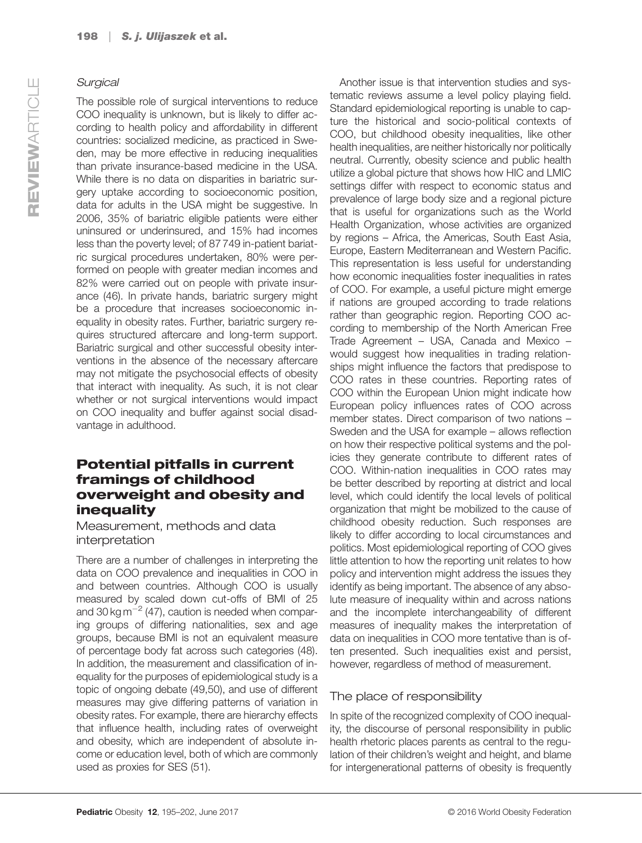### Surgical

The possible role of surgical interventions to reduce COO inequality is unknown, but is likely to differ according to health policy and affordability in different countries: socialized medicine, as practiced in Sweden, may be more effective in reducing inequalities than private insurance-based medicine in the USA. While there is no data on disparities in bariatric surgery uptake according to socioeconomic position, data for adults in the USA might be suggestive. In 2006, 35% of bariatric eligible patients were either uninsured or underinsured, and 15% had incomes less than the poverty level; of 87 749 in-patient bariatric surgical procedures undertaken, 80% were performed on people with greater median incomes and 82% were carried out on people with private insurance (46). In private hands, bariatric surgery might be a procedure that increases socioeconomic inequality in obesity rates. Further, bariatric surgery requires structured aftercare and long-term support. Bariatric surgical and other successful obesity interventions in the absence of the necessary aftercare may not mitigate the psychosocial effects of obesity that interact with inequality. As such, it is not clear whether or not surgical interventions would impact on COO inequality and buffer against social disadvantage in adulthood.

#### Potential pitfalls in current framings of childhood overweight and obesity and inequality

Measurement, methods and data interpretation

There are a number of challenges in interpreting the data on COO prevalence and inequalities in COO in and between countries. Although COO is usually measured by scaled down cut-offs of BMI of 25 and 30 kg  $\text{m}^{-2}$  (47), caution is needed when comparing groups of differing nationalities, sex and age groups, because BMI is not an equivalent measure of percentage body fat across such categories (48). In addition, the measurement and classification of inequality for the purposes of epidemiological study is a topic of ongoing debate (49,50), and use of different measures may give differing patterns of variation in obesity rates. For example, there are hierarchy effects that influence health, including rates of overweight and obesity, which are independent of absolute income or education level, both of which are commonly used as proxies for SES (51).

Another issue is that intervention studies and systematic reviews assume a level policy playing field. Standard epidemiological reporting is unable to capture the historical and socio-political contexts of COO, but childhood obesity inequalities, like other health inequalities, are neither historically nor politically neutral. Currently, obesity science and public health utilize a global picture that shows how HIC and LMIC settings differ with respect to economic status and prevalence of large body size and a regional picture that is useful for organizations such as the World Health Organization, whose activities are organized by regions – Africa, the Americas, South East Asia, Europe, Eastern Mediterranean and Western Pacific. This representation is less useful for understanding how economic inequalities foster inequalities in rates of COO. For example, a useful picture might emerge if nations are grouped according to trade relations rather than geographic region. Reporting COO according to membership of the North American Free Trade Agreement – USA, Canada and Mexico – would suggest how inequalities in trading relationships might influence the factors that predispose to COO rates in these countries. Reporting rates of COO within the European Union might indicate how European policy influences rates of COO across member states. Direct comparison of two nations – Sweden and the USA for example – allows reflection on how their respective political systems and the policies they generate contribute to different rates of COO. Within-nation inequalities in COO rates may be better described by reporting at district and local level, which could identify the local levels of political organization that might be mobilized to the cause of childhood obesity reduction. Such responses are likely to differ according to local circumstances and politics. Most epidemiological reporting of COO gives little attention to how the reporting unit relates to how policy and intervention might address the issues they identify as being important. The absence of any absolute measure of inequality within and across nations and the incomplete interchangeability of different measures of inequality makes the interpretation of data on inequalities in COO more tentative than is often presented. Such inequalities exist and persist, however, regardless of method of measurement.

#### The place of responsibility

In spite of the recognized complexity of COO inequality, the discourse of personal responsibility in public health rhetoric places parents as central to the regulation of their children's weight and height, and blame for intergenerational patterns of obesity is frequently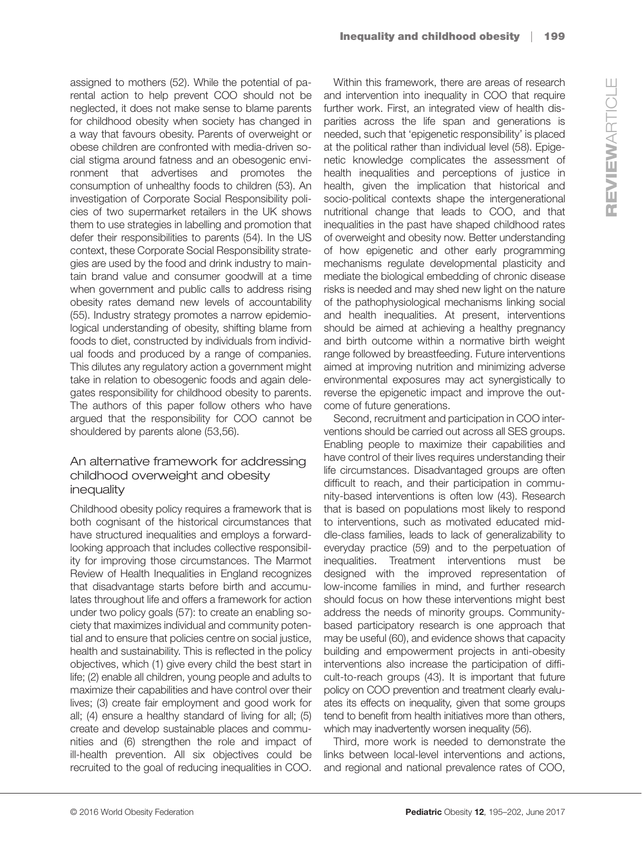assigned to mothers (52). While the potential of parental action to help prevent COO should not be neglected, it does not make sense to blame parents for childhood obesity when society has changed in a way that favours obesity. Parents of overweight or obese children are confronted with media-driven social stigma around fatness and an obesogenic environment that advertises and promotes the consumption of unhealthy foods to children (53). An investigation of Corporate Social Responsibility policies of two supermarket retailers in the UK shows them to use strategies in labelling and promotion that defer their responsibilities to parents (54). In the US context, these Corporate Social Responsibility strategies are used by the food and drink industry to maintain brand value and consumer goodwill at a time when government and public calls to address rising obesity rates demand new levels of accountability (55). Industry strategy promotes a narrow epidemiological understanding of obesity, shifting blame from foods to diet, constructed by individuals from individual foods and produced by a range of companies. This dilutes any regulatory action a government might take in relation to obesogenic foods and again delegates responsibility for childhood obesity to parents. The authors of this paper follow others who have argued that the responsibility for COO cannot be shouldered by parents alone (53,56).

#### An alternative framework for addressing childhood overweight and obesity inequality

Childhood obesity policy requires a framework that is both cognisant of the historical circumstances that have structured inequalities and employs a forwardlooking approach that includes collective responsibility for improving those circumstances. The Marmot Review of Health Inequalities in England recognizes that disadvantage starts before birth and accumulates throughout life and offers a framework for action under two policy goals (57): to create an enabling society that maximizes individual and community potential and to ensure that policies centre on social justice, health and sustainability. This is reflected in the policy objectives, which (1) give every child the best start in life; (2) enable all children, young people and adults to maximize their capabilities and have control over their lives; (3) create fair employment and good work for all; (4) ensure a healthy standard of living for all; (5) create and develop sustainable places and communities and (6) strengthen the role and impact of ill-health prevention. All six objectives could be recruited to the goal of reducing inequalities in COO.

Within this framework, there are areas of research and intervention into inequality in COO that require further work. First, an integrated view of health disparities across the life span and generations is needed, such that 'epigenetic responsibility' is placed at the political rather than individual level (58). Epigenetic knowledge complicates the assessment of health inequalities and perceptions of justice in health, given the implication that historical and socio-political contexts shape the intergenerational nutritional change that leads to COO, and that inequalities in the past have shaped childhood rates of overweight and obesity now. Better understanding of how epigenetic and other early programming mechanisms regulate developmental plasticity and mediate the biological embedding of chronic disease risks is needed and may shed new light on the nature of the pathophysiological mechanisms linking social and health inequalities. At present, interventions should be aimed at achieving a healthy pregnancy and birth outcome within a normative birth weight range followed by breastfeeding. Future interventions aimed at improving nutrition and minimizing adverse environmental exposures may act synergistically to reverse the epigenetic impact and improve the outcome of future generations.

Second, recruitment and participation in COO interventions should be carried out across all SES groups. Enabling people to maximize their capabilities and have control of their lives requires understanding their life circumstances. Disadvantaged groups are often difficult to reach, and their participation in community-based interventions is often low (43). Research that is based on populations most likely to respond to interventions, such as motivated educated middle-class families, leads to lack of generalizability to everyday practice (59) and to the perpetuation of inequalities. Treatment interventions must be designed with the improved representation of low-income families in mind, and further research should focus on how these interventions might best address the needs of minority groups. Communitybased participatory research is one approach that may be useful (60), and evidence shows that capacity building and empowerment projects in anti-obesity interventions also increase the participation of difficult-to-reach groups (43). It is important that future policy on COO prevention and treatment clearly evaluates its effects on inequality, given that some groups tend to benefit from health initiatives more than others, which may inadvertently worsen inequality (56).

Third, more work is needed to demonstrate the links between local-level interventions and actions, and regional and national prevalence rates of COO,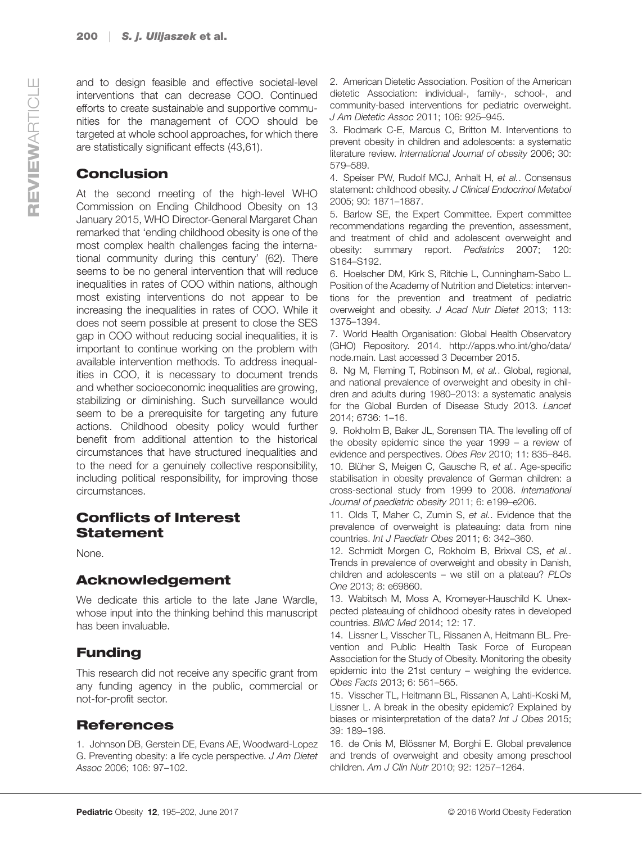and to design feasible and effective societal-level interventions that can decrease COO. Continued efforts to create sustainable and supportive communities for the management of COO should be targeted at whole school approaches, for which there are statistically significant effects (43,61).

#### Conclusion

At the second meeting of the high-level WHO Commission on Ending Childhood Obesity on 13 January 2015, WHO Director-General Margaret Chan remarked that 'ending childhood obesity is one of the most complex health challenges facing the international community during this century' (62). There seems to be no general intervention that will reduce inequalities in rates of COO within nations, although most existing interventions do not appear to be increasing the inequalities in rates of COO. While it does not seem possible at present to close the SES gap in COO without reducing social inequalities, it is important to continue working on the problem with available intervention methods. To address inequalities in COO, it is necessary to document trends and whether socioeconomic inequalities are growing, stabilizing or diminishing. Such surveillance would seem to be a prerequisite for targeting any future actions. Childhood obesity policy would further benefit from additional attention to the historical circumstances that have structured inequalities and to the need for a genuinely collective responsibility, including political responsibility, for improving those circumstances.

#### Conflicts of Interest Statement

None.

#### Acknowledgement

We dedicate this article to the late Jane Wardle, whose input into the thinking behind this manuscript has been invaluable.

#### Funding

This research did not receive any specific grant from any funding agency in the public, commercial or not-for-profit sector.

#### References

1. Johnson DB, Gerstein DE, Evans AE, Woodward-Lopez G. Preventing obesity: a life cycle perspective. J Am Dietet Assoc 2006; 106: 97–102.

2. American Dietetic Association. Position of the American dietetic Association: individual-, family-, school-, and community-based interventions for pediatric overweight. J Am Dietetic Assoc 2011; 106: 925–945.

3. Flodmark C-E, Marcus C, Britton M. Interventions to prevent obesity in children and adolescents: a systematic literature review. International Journal of obesity 2006; 30: 579–589.

4. Speiser PW, Rudolf MCJ, Anhalt H, et al.. Consensus statement: childhood obesity. J Clinical Endocrinol Metabol 2005; 90: 1871–1887.

5. Barlow SE, the Expert Committee. Expert committee recommendations regarding the prevention, assessment, and treatment of child and adolescent overweight and obesity: summary report. Pediatrics 2007; 120: S164–S192.

6. Hoelscher DM, Kirk S, Ritchie L, Cunningham-Sabo L. Position of the Academy of Nutrition and Dietetics: interventions for the prevention and treatment of pediatric overweight and obesity. J Acad Nutr Dietet 2013; 113: 1375–1394.

7. World Health Organisation: Global Health Observatory (GHO) Repository. 2014. [http://apps.who.int/gho/data/](http://apps.who.int/gho/data/node.main) [node.main](http://apps.who.int/gho/data/node.main). Last accessed 3 December 2015.

8. Ng M, Fleming T, Robinson M, et al., Global, regional, and national prevalence of overweight and obesity in children and adults during 1980–2013: a systematic analysis for the Global Burden of Disease Study 2013. Lancet 2014; 6736: 1–16.

9. Rokholm B, Baker JL, Sorensen TIA. The levelling off of the obesity epidemic since the year 1999 – a review of evidence and perspectives. Obes Rev 2010; 11: 835–846. 10. Blüher S, Meigen C, Gausche R, et al.. Age-specific stabilisation in obesity prevalence of German children: a cross-sectional study from 1999 to 2008. International Journal of paediatric obesity 2011; 6: e199–e206.

11. Olds T, Maher C, Zumin S, et al.. Evidence that the prevalence of overweight is plateauing: data from nine countries. Int J Paediatr Obes 2011; 6: 342–360.

12. Schmidt Morgen C, Rokholm B, Brixval CS, et al.. Trends in prevalence of overweight and obesity in Danish, children and adolescents – we still on a plateau? PLOs One 2013; 8: e69860.

13. Wabitsch M, Moss A, Kromeyer-Hauschild K. Unexpected plateauing of childhood obesity rates in developed countries. BMC Med 2014; 12: 17.

14. Lissner L, Visscher TL, Rissanen A, Heitmann BL. Prevention and Public Health Task Force of European Association for the Study of Obesity. Monitoring the obesity epidemic into the 21st century – weighing the evidence. Obes Facts 2013; 6: 561–565.

15. Visscher TL, Heitmann BL, Rissanen A, Lahti-Koski M, Lissner L. A break in the obesity epidemic? Explained by biases or misinterpretation of the data? Int J Obes 2015; 39: 189–198.

16. de Onis M, Blössner M, Borghi E. Global prevalence and trends of overweight and obesity among preschool children. Am J Clin Nutr 2010; 92: 1257–1264.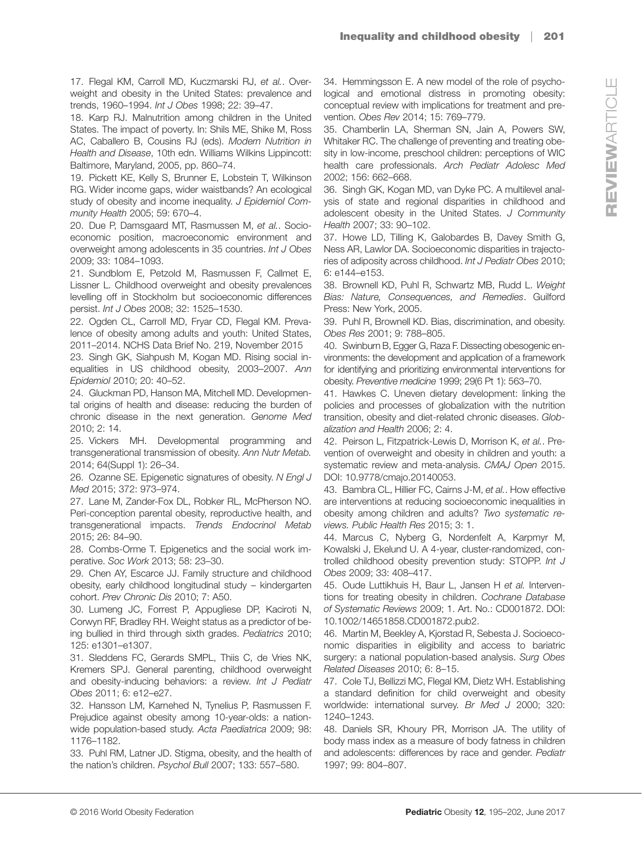17. Flegal KM, Carroll MD, Kuczmarski RJ, et al., Overweight and obesity in the United States: prevalence and trends, 1960–1994. Int J Obes 1998; 22: 39–47.

18. Karp RJ. Malnutrition among children in the United States. The impact of poverty. In: Shils ME, Shike M, Ross AC, Caballero B, Cousins RJ (eds). Modern Nutrition in Health and Disease, 10th edn. Williams Wilkins Lippincott: Baltimore, Maryland, 2005, pp. 860–74.

19. Pickett KE, Kelly S, Brunner E, Lobstein T, Wilkinson RG. Wider income gaps, wider waistbands? An ecological study of obesity and income inequality. J Epidemiol Community Health 2005; 59: 670–4.

20. Due P, Damsgaard MT, Rasmussen M, et al.. Socioeconomic position, macroeconomic environment and overweight among adolescents in 35 countries. Int J Obes 2009; 33: 1084–1093.

21. Sundblom E, Petzold M, Rasmussen F, Callmet E, Lissner L. Childhood overweight and obesity prevalences levelling off in Stockholm but socioeconomic differences persist. Int J Obes 2008; 32: 1525–1530.

22. Ogden CL, Carroll MD, Fryar CD, Flegal KM. Prevalence of obesity among adults and youth: United States, 2011–2014. NCHS Data Brief No. 219, November 2015

23. Singh GK, Siahpush M, Kogan MD. Rising social inequalities in US childhood obesity, 2003–2007. Ann Epidemiol 2010; 20: 40–52.

24. Gluckman PD, Hanson MA, Mitchell MD. Developmental origins of health and disease: reducing the burden of chronic disease in the next generation. Genome Med 2010; 2: 14.

25. Vickers MH. Developmental programming and transgenerational transmission of obesity. Ann Nutr Metab. 2014; 64(Suppl 1): 26–34.

26. Ozanne SE. Epigenetic signatures of obesity. N Engl J Med 2015; 372: 973–974.

27. Lane M, Zander-Fox DL, Robker RL, McPherson NO. Peri-conception parental obesity, reproductive health, and transgenerational impacts. Trends Endocrinol Metab 2015; 26: 84–90.

28. Combs-Orme T. Epigenetics and the social work imperative. Soc Work 2013; 58: 23–30.

29. Chen AY, Escarce JJ. Family structure and childhood obesity, early childhood longitudinal study – kindergarten cohort. Prev Chronic Dis 2010; 7: A50.

30. Lumeng JC, Forrest P, Appugliese DP, Kaciroti N, Corwyn RF, Bradley RH. Weight status as a predictor of being bullied in third through sixth grades. Pediatrics 2010; 125: e1301–e1307.

31. Sleddens FC, Gerards SMPL, Thiis C, de Vries NK, Kremers SPJ. General parenting, childhood overweight and obesity-inducing behaviors: a review. Int J Pediatr Obes 2011; 6: e12–e27.

32. Hansson LM, Karnehed N, Tynelius P, Rasmussen F. Prejudice against obesity among 10-year-olds: a nationwide population-based study. Acta Paediatrica 2009; 98: 1176–1182.

33. Puhl RM, Latner JD. Stigma, obesity, and the health of the nation's children. Psychol Bull 2007; 133: 557–580.

34. Hemmingsson E. A new model of the role of psychological and emotional distress in promoting obesity: conceptual review with implications for treatment and prevention. Obes Rev 2014; 15: 769–779.

35. Chamberlin LA, Sherman SN, Jain A, Powers SW, Whitaker RC. The challenge of preventing and treating obesity in low-income, preschool children: perceptions of WIC health care professionals. Arch Pediatr Adolesc Med 2002; 156: 662–668.

36. Singh GK, Kogan MD, van Dyke PC. A multilevel analysis of state and regional disparities in childhood and adolescent obesity in the United States. J Community Health 2007; 33: 90–102.

37. Howe LD, Tilling K, Galobardes B, Davey Smith G, Ness AR, Lawlor DA. Socioeconomic disparities in trajectories of adiposity across childhood. Int J Pediatr Obes 2010; 6: e144–e153.

38. Brownell KD, Puhl R, Schwartz MB, Rudd L. Weight Bias: Nature, Consequences, and Remedies. Guilford Press: New York, 2005.

39. Puhl R, Brownell KD. Bias, discrimination, and obesity. Obes Res 2001; 9: 788–805.

40. Swinburn B, Egger G, Raza F. Dissecting obesogenic environments: the development and application of a framework for identifying and prioritizing environmental interventions for obesity. Preventive medicine 1999; 29(6 Pt 1): 563–70.

41. Hawkes C. Uneven dietary development: linking the policies and processes of globalization with the nutrition transition, obesity and diet-related chronic diseases. Globalization and Health 2006; 2: 4.

42. Peirson L, Fitzpatrick-Lewis D, Morrison K, et al.. Prevention of overweight and obesity in children and youth: a systematic review and meta-analysis. CMAJ Open 2015. DOI: [10.9778/cmajo.20140053.](http://dx.doi.org/10.9778/cmajo.20140053)

43. Bambra CL, Hillier FC, Cairns J-M, et al.. How effective are interventions at reducing socioeconomic inequalities in obesity among children and adults? Two systematic reviews. Public Health Res 2015; 3: 1.

44. Marcus C, Nyberg G, Nordenfelt A, Karpmyr M, Kowalski J, Ekelund U. A 4-year, cluster-randomized, controlled childhood obesity prevention study: STOPP. Int J Obes 2009; 33: 408–417.

45. Oude Luttikhuis H, Baur L, Jansen H et al. Interventions for treating obesity in children. Cochrane Database of Systematic Reviews 2009; 1. Art. No.: CD001872. DOI: [10.1002/14651858.CD001872.pub2.](http://dx.doi.org/10.1002/14651858.CD001872.pub2)

46. Martin M, Beekley A, Kjorstad R, Sebesta J. Socioeconomic disparities in eligibility and access to bariatric surgery: a national population-based analysis. Surg Obes Related Diseases 2010; 6: 8–15.

47. Cole TJ, Bellizzi MC, Flegal KM, Dietz WH. Establishing a standard definition for child overweight and obesity worldwide: international survey. Br Med J 2000; 320: 1240–1243.

48. Daniels SR, Khoury PR, Morrison JA. The utility of body mass index as a measure of body fatness in children and adolescents: differences by race and gender. Pediatr 1997; 99: 804–807.